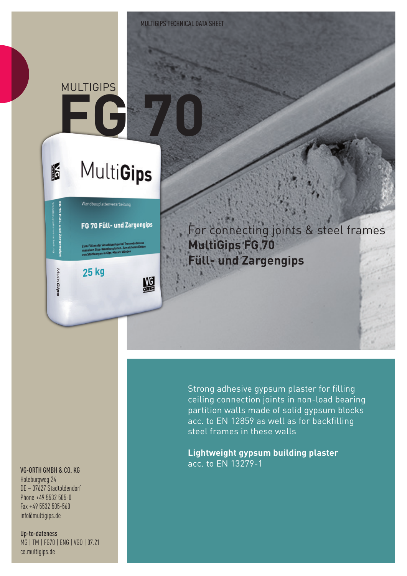## **FG 70** MULTIGIPS

**IF** 

MutiGips

# **MultiGips**

FG 70 Füll- und Zargengips

Wandbauplattenverarbeitung

鰮

**25 kg** 

For connecting joints & steel frames **MultiGips FG 70 Füll- und Zargengips**

#### VG-ORTH GMBH & CO. KG

Holeburgweg 24 DE – 37627 Stadtoldendorf Phone +49 5532 505-0 Fax +49 5532 505-560 info@multigips.de

Up-to-dateness MG | TM | FG70 | ENG | VGO | 07.21 ce.multigips.de

Strong adhesive gypsum plaster for filling ceiling connection joints in non-load bearing partition walls made of solid gypsum blocks acc. to EN 12859 as well as for backfilling steel frames in these walls

**Lightweight gypsum building plaster** acc. to EN 13279-1